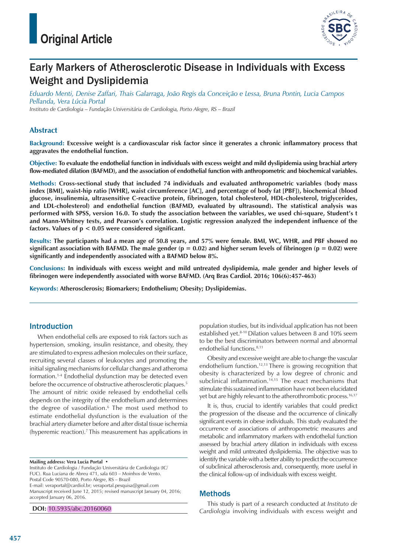

# Early Markers of Atherosclerotic Disease in Individuals with Excess Weight and Dyslipidemia

*Eduardo Menti, Denise Zaffari, Thais Galarraga, João Regis da Conceição e Lessa, Bruna Pontin, Lucia Campos Pellanda, Vera Lúcia Portal Instituto de Cardiologia – Fundação Universitária de Cardiologia, Porto Alegre, RS – Brazil*

## **Abstract**

**Background: Excessive weight is a cardiovascular risk factor since it generates a chronic inflammatory process that aggravates the endothelial function.**

**Objective: To evaluate the endothelial function in individuals with excess weight and mild dyslipidemia using brachial artery flow-mediated dilation (BAFMD), and the association of endothelial function with anthropometric and biochemical variables.**

**Methods: Cross-sectional study that included 74 individuals and evaluated anthropometric variables (body mass index [BMI], waist-hip ratio [WHR], waist circumference [AC], and percentage of body fat [PBF]), biochemical (blood glucose, insulinemia, ultrasensitive C-reactive protein, fibrinogen, total cholesterol, HDL-cholesterol, triglycerides, and LDL-cholesterol) and endothelial function (BAFMD, evaluated by ultrasound). The statistical analysis was performed with SPSS, version 16.0. To study the association between the variables, we used chi-square, Student's t and Mann-Whitney tests, and Pearson's correlation. Logistic regression analyzed the independent influence of the factors. Values of p < 0.05 were considered significant.**

**Results: The participants had a mean age of 50.8 years, and 57% were female. BMI, WC, WHR, and PBF showed no significant association with BAFMD. The male gender (p = 0.02) and higher serum levels of fibrinogen (p = 0.02) were significantly and independently associated with a BAFMD below 8%.**

**Conclusions: In individuals with excess weight and mild untreated dyslipidemia, male gender and higher levels of fibrinogen were independently associated with worse BAFMD. (Arq Bras Cardiol. 2016; 106(6):457-463)**

**Keywords: Atherosclerosis; Biomarkers; Endothelium; Obesity; Dyslipidemias.**

## Introduction

When endothelial cells are exposed to risk factors such as hypertension, smoking, insulin resistance, and obesity, they are stimulated to express adhesion molecules on their surface, recruiting several classes of leukocytes and promoting the initial signaling mechanisms for cellular changes and atheroma formation.1-4 Endothelial dysfunction may be detected even before the occurrence of obstructive atherosclerotic plaques.<sup>5</sup> The amount of nitric oxide released by endothelial cells depends on the integrity of the endothelium and determines the degree of vasodilation.<sup>6</sup> The most used method to estimate endothelial dysfunction is the evaluation of the brachial artery diameter before and after distal tissue ischemia (hyperemic reaction).<sup>7</sup>This measurement has applications in

**Mailing address: Vera Lucia Portal •**

Instituto de Cardiologia / Fundação Universitária de Cardiologia (IC/ FUC). Rua Luciana de Abreu 471, sala 603 – Moinhos de Vento. Postal Code 90570-080, Porto Alegre, RS – Brazil E-mail: veraportal@cardiol.br; veraportal.pesquisa@gmail.com Manuscript received June 12, 2015; revised manuscript January 04, 2016; accepted January 06, 2016.

**DOI:** 10.5935/abc.20160060

population studies, but its individual application has not been established yet.<sup>8-10</sup> Dilation values between 8 and 10% seem to be the best discriminators between normal and abnormal endothelial functions.<sup>8,11</sup>

Obesity and excessive weight are able to change the vascular endothelium function.12,13 There is growing recognition that obesity is characterized by a low degree of chronic and subclinical inflammation.<sup>14,15</sup> The exact mechanisms that stimulate this sustained inflammation have not been elucidated yet but are highly relevant to the atherothrombotic process.<sup>16,17</sup>

It is, thus, crucial to identify variables that could predict the progression of the disease and the occurrence of clinically significant events in obese individuals. This study evaluated the occurrence of associations of anthropometric measures and metabolic and inflammatory markers with endothelial function assessed by brachial artery dilation in individuals with excess weight and mild untreated dyslipidemia. The objective was to identify the variable with a better ability to predict the occurrence of subclinical atherosclerosis and, consequently, more useful in the clinical follow-up of individuals with excess weight.

## Methods

This study is part of a research conducted at *Instituto de Cardiologia* involving individuals with excess weight and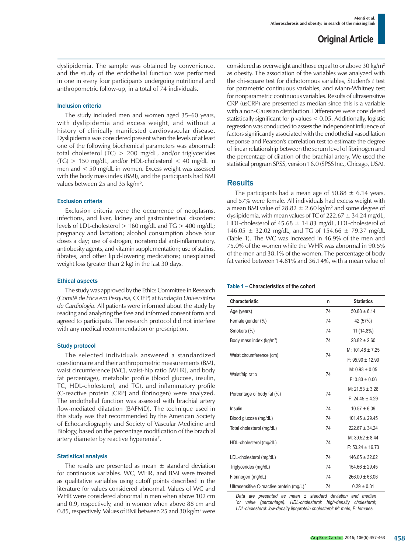dyslipidemia. The sample was obtained by convenience, and the study of the endothelial function was performed in one in every four participants undergoing nutritional and anthropometric follow-up, in a total of 74 individuals.

#### Inclusion criteria

The study included men and women aged 35–60 years, with dyslipidemia and excess weight, and without a history of clinically manifested cardiovascular disease. Dyslipidemia was considered present when the levels of at least one of the following biochemical parameters was abnormal: total cholesterol (TC) > 200 mg/dL, and/or triglycerides  $(TG)$  > 150 mg/dL, and/or HDL-cholesterol < 40 mg/dL in men and < 50 mg/dL in women. Excess weight was assessed with the body mass index (BMI), and the participants had BMI values between 25 and 35 kg/m².

### Exclusion criteria

Exclusion criteria were the occurrence of neoplasms, infections, and liver, kidney and gastrointestinal disorders; levels of LDL-cholesterol > 160 mg/dL and TG > 400 mg/dL; pregnancy and lactation; alcohol consumption above four doses a day; use of estrogen, nonsteroidal anti-inflammatory, antiobesity agents, and vitamin supplementation; use of statins, fibrates, and other lipid-lowering medications; unexplained weight loss (greater than 2 kg) in the last 30 days.

#### Ethical aspects

The study was approved by the Ethics Committee in Research (*Comitê de Ética em Pesquisa,* COEP) at *Fundação Universitária de Cardiologia*. All patients were informed about the study by reading and analyzing the free and informed consent form and agreed to participate. The research protocol did not interfere with any medical recommendation or prescription.

#### Study protocol

The selected individuals answered a standardized questionnaire and their anthropometric measurements (BMI, waist circumference [WC], waist-hip ratio [WHR], and body fat percentage), metabolic profile (blood glucose, insulin, TC, HDL-cholesterol, and TG), and inflammatory profile (C-reactive protein [CRP] and fibrinogen) were analyzed. The endothelial function was assessed with brachial artery flow-mediated dilatation (BAFMD). The technique used in this study was that recommended by the American Society of Echocardiography and Society of Vascular Medicine and Biology, based on the percentage modification of the brachial artery diameter by reactive hyperemia<sup>7</sup>.

#### Statistical analysis

The results are presented as mean  $\pm$  standard deviation for continuous variables. WC, WHR, and BMI were treated as qualitative variables using cutoff points described in the literature for values considered abnormal. Values of WC and WHR were considered abnormal in men when above 102 cm and 0.9, respectively, and in women when above 88 cm and 0.85, respectively. Values of BMI between 25 and 30 kg/m<sup>2</sup> were considered as overweight and those equal to or above 30 kg/m<sup>2</sup> as obesity. The association of the variables was analyzed with the chi-square test for dichotomous variables, Student's *t* test for parametric continuous variables, and Mann-Whitney test for nonparametric continuous variables. Results of ultrasensitive CRP (usCRP) are presented as median since this is a variable with a non-Gaussian distribution. Differences were considered statistically significant for p values < 0.05. Additionally, logistic regression was conducted to assess the independent influence of factors significantly associated with the endothelial vasodilation response and Pearson's correlation test to estimate the degree of linear relationship between the serum level of fibrinogen and the percentage of dilation of the brachial artery. We used the statistical program SPSS, version 16.0 (SPSS Inc., Chicago, USA).

## **Results**

The participants had a mean age of  $50.88 \pm 6.14$  years, and 57% were female. All individuals had excess weight with a mean BMI value of 28.82  $\pm$  2.60 kg/m<sup>2</sup> and some degree of dyslipidemia, with mean values of TC of  $222.67 \pm 34.24$  mg/dL, HDL-cholesterol of 45.68  $\pm$  14.83 mg/dL, LDL-cholesterol of 146.05  $\pm$  32.02 mg/dL, and TG of 154.66  $\pm$  79.37 mg/dL (Table 1). The WC was increased in 46.9% of the men and 75.0% of the women while the WHR was abnormal in 90.5% of the men and 38.1% of the women. The percentage of body fat varied between 14.81% and 36.14%, with a mean value of

#### **Table 1 – Characteristics of the cohort**

| Characteristic                            | n  | <b>Statistics</b>    |
|-------------------------------------------|----|----------------------|
| Age (years)                               | 74 | $50.88 \pm 6.14$     |
| Female gender (%)                         | 74 | 42 (57%)             |
| Smokers (%)                               | 74 | 11 (14.8%)           |
| Body mass index (kg/m <sup>2</sup> )      | 74 | $28.82 \pm 2.60$     |
| Waist circumference (cm)                  | 74 | M: $101.48 \pm 7.25$ |
|                                           |    | $F: 95.90 \pm 12.90$ |
|                                           |    | $M: 0.93 \pm 0.05$   |
| Waist/hip ratio                           | 74 | $F: 0.83 \pm 0.06$   |
|                                           | 74 | $M: 21.53 \pm 3.28$  |
| Percentage of body fat (%)                |    | $F: 24.45 \pm 4.29$  |
| Insulin                                   | 74 | $10.57 \pm 6.09$     |
| Blood glucose (mg/dL)                     | 74 | $101.45 \pm 29.45$   |
| Total cholesterol (mg/dL)                 | 74 | $222.67 \pm 34.24$   |
|                                           |    | M: $39.52 \pm 8.44$  |
| HDL-cholesterol (mg/dL)                   | 74 | $F: 50.24 \pm 16.73$ |
| LDL-cholesterol (mg/dL)                   | 74 | $146.05 \pm 32.02$   |
| Triglycerides (mg/dL)                     | 74 | $154.66 \pm 29.45$   |
| Fibrinogen (mg/dL)                        | 74 | $266.00 \pm 63.06$   |
| Ultrasensitive C-reactive protein (mg/L)* | 74 | $0.29 \pm 0.31$      |

*Data are presented as mean ± standard deviation and median \*or value (percentage). HDL-cholesterol: high-density cholesterol; LDL-cholesterol: low-density lipoprotein cholesterol; M: male; F: females.*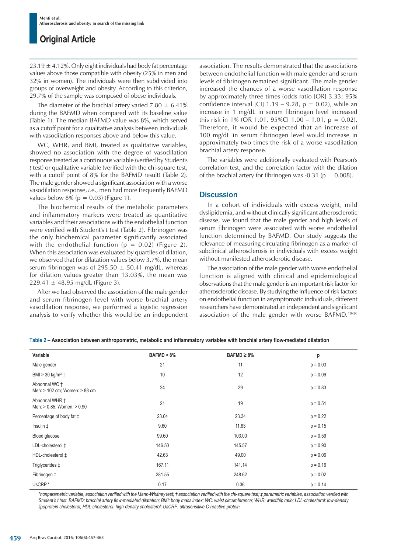$23.19 \pm 4.12\%$ . Only eight individuals had body fat percentage values above those compatible with obesity (25% in men and 32% in women). The individuals were then subdivided into groups of overweight and obesity. According to this criterion, 29.7% of the sample was composed of obese individuals.

The diameter of the brachial artery varied 7.80  $\pm$  6.41% during the BAFMD when compared with its baseline value (Table 1). The median BAFMD value was 8%, which served as a cutoff point for a qualitative analysis between individuals with vasodilation responses above and below this value.

WC, WHR, and BMI, treated as qualitative variables, showed no association with the degree of vasodilation response treated as a continuous variable (verified by Student's *t* test) or qualitative variable (verified with the chi-square test, with a cutoff point of 8% for the BAFMD result) (Table 2). The male gender showed a significant association with a worse vasodilation response, *i.e*., men had more frequently BAFMD values below  $8\%$  ( $p = 0.03$ ) (Figure 1).

The biochemical results of the metabolic parameters and inflammatory markers were treated as quantitative variables and their associations with the endothelial function were verified with Student's *t* test (Table 2). Fibrinogen was the only biochemical parameter significantly associated with the endothelial function ( $p = 0.02$ ) (Figure 2). When this association was evaluated by quartiles of dilation, we observed that for dilatation values below 3.7%, the mean serum fibrinogen was of 295.50  $\pm$  50.41 mg/dL, whereas for dilation values greater than 13.03%, the mean was 229.41  $\pm$  48.95 mg/dL (Figure 3).

After we had observed the association of the male gender and serum fibrinogen level with worse brachial artery vasodilation response, we performed a logistic regression analysis to verify whether this would be an independent association. The results demonstrated that the associations between endothelial function with male gender and serum levels of fibrinogen remained significant. The male gender increased the chances of a worse vasodilation response by approximately three times (odds ratio [OR] 3.33; 95% confidence interval [CI]  $1.19 - 9.28$ ,  $p = 0.02$ ), while an increase in 1 mg/dL in serum fibrinogen level increased this risk in 1% (OR 1.01, 95%Cl 1.00 – 1.01,  $p = 0.02$ ). Therefore, it would be expected that an increase of 100 mg/dL in serum fibrinogen level would increase in approximately two times the risk of a worse vasodilation brachial artery response.

The variables were additionally evaluated with Pearson's correlation test, and the correlation factor with the dilation of the brachial artery for fibrinogen was -0.31 ( $p = 0.008$ ).

## **Discussion**

In a cohort of individuals with excess weight, mild dyslipidemia, and without clinically significant atherosclerotic disease, we found that the male gender and high levels of serum fibrinogen were associated with worse endothelial function determined by BAFMD. Our study suggests the relevance of measuring circulating fibrinogen as a marker of subclinical atherosclerosis in individuals with excess weight without manifested atherosclerotic disease.

The association of the male gender with worse endothelial function is aligned with clinical and epidemiological observations that the male gender is an important risk factor for atherosclerotic disease. By studying the influence of risk factors on endothelial function in asymptomatic individuals, different researchers have demonstrated an independent and significant association of the male gender with worse BAFMD.18-20

**Table 2 – Association between anthropometric, metabolic and inlammatory variables with brachial artery low-mediated dilatation**

| Variable                                       | BAFMD < 8% | $BAFMD \geq 8\%$ | p          |
|------------------------------------------------|------------|------------------|------------|
| Male gender                                    | 21         | 11               | $p = 0.03$ |
| BMI $> 30$ kg/m <sup>2</sup> $\dagger$         | 10         | 12               | $p = 0.09$ |
| Abnormal WC +<br>Men: > 102 cm; Women: > 88 cm | 24         | 29               | $p = 0.83$ |
| Abnormal WHR +<br>Men: > 0.85; Women: > 0.90   | 21         | 19               | $p = 0.51$ |
| Percentage of body fat $\ddagger$              | 23.04      | 23.34            | $p = 0.22$ |
| Insulin $\ddagger$                             | 9.60       | 11.63            | $p = 0.15$ |
| Blood glucose                                  | 99.60      | 103.00           | $p = 0.59$ |
| LDL-cholesterol ‡                              | 146.50     | 145.57           | $p = 0.90$ |
| HDL-cholesterol ‡                              | 42.63      | 49.00            | $p = 0.06$ |
| Triglycerides ‡                                | 167.11     | 141.14           | $p = 0.16$ |
| Fibrinogen ‡                                   | 281.55     | 248.62           | $p = 0.02$ |
| UsCRP <sup>*</sup>                             | 0.17       | 0.36             | $p = 0.14$ |

*\*nonparametric variable, association veriied with the Mann-Whitney test; † association veriied with the chi-square test; ‡ parametric variables, association veriied with Student's t test. BAFMD: brachial artery low-mediated dilatation; BMI: body mass index; WC: waist circumference; WHR: waist/hip ratio; LDL-cholesterol: low-density lipoprotein cholesterol; HDL-cholesterol: high-density cholesterol; UsCRP: ultrasensitive C-reactive protein.*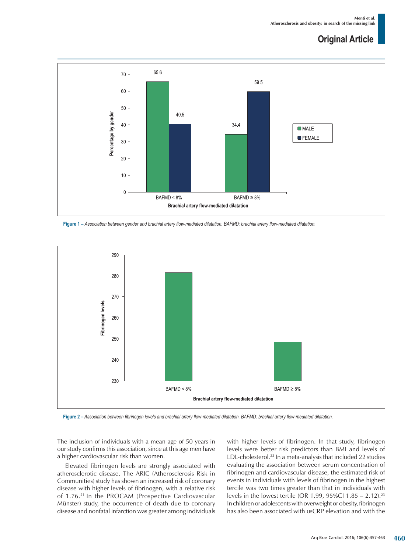

**Figure 1 –** *Association between gender and brachial artery low-mediated dilatation. BAFMD: brachial artery low-mediated dilatation.*



**Figure 2 –** *Association between ibrinogen levels and brachial artery low-mediated dilatation. BAFMD: brachial artery low-mediated dilatation.*

The inclusion of individuals with a mean age of 50 years in our study confirms this association, since at this age men have a higher cardiovascular risk than women.

Elevated fibrinogen levels are strongly associated with atherosclerotic disease. The ARIC (Atherosclerosis Risk in Communities) study has shown an increased risk of coronary disease with higher levels of fibrinogen, with a relative risk of 1.76.<sup>21</sup> In the PROCAM (Prospective Cardiovascular Münster) study, the occurrence of death due to coronary disease and nonfatal infarction was greater among individuals with higher levels of fibrinogen. In that study, fibrinogen levels were better risk predictors than BMI and levels of LDL-cholesterol.<sup>22</sup> In a meta-analysis that included 22 studies evaluating the association between serum concentration of fibrinogen and cardiovascular disease, the estimated risk of events in individuals with levels of fibrinogen in the highest tercile was two times greater than that in individuals with levels in the lowest tertile (OR 1.99, 95%CI 1.85 – 2.12).<sup>23</sup> In children or adolescents with overweight or obesity, fibrinogen has also been associated with usCRP elevation and with the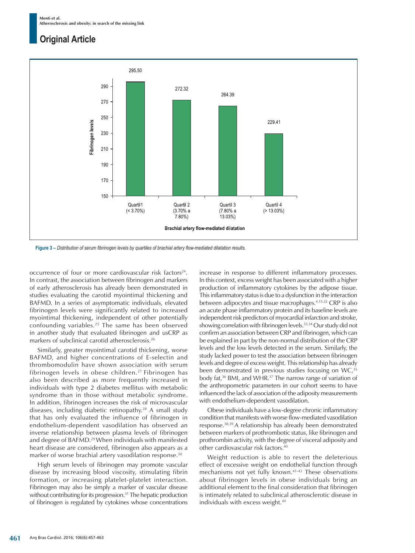

**Figure 3 –** *Distribution of serum ibrinogen levels by quartiles of brachial artery low-mediated dilatation results.*

occurrence of four or more cardiovascular risk factors<sup>24</sup>. In contrast, the association between fibrinogen and markers of early atherosclerosis has already been demonstrated in studies evaluating the carotid myointimal thickening and BAFMD. In a series of asymptomatic individuals, elevated fibrinogen levels were significantly related to increased myointimal thickening, independent of other potentially confounding variables.<sup>25</sup> The same has been observed in another study that evaluated fibrinogen and usCRP as markers of subclinical carotid atherosclerosis.<sup>26</sup>

Similarly, greater myointimal carotid thickening, worse BAFMD, and higher concentrations of E-selectin and thrombomodulin have shown association with serum fibrinogen levels in obese children.<sup>27</sup> Fibrinogen has also been described as more frequently increased in individuals with type 2 diabetes mellitus with metabolic syndrome than in those without metabolic syndrome. In addition, fibrinogen increases the risk of microvascular diseases, including diabetic retinopathy.<sup>28</sup> A small study that has only evaluated the influence of fibrinogen in endothelium-dependent vasodilation has observed an inverse relationship between plasma levels of fibrinogen and degree of BAFMD.<sup>29</sup> When individuals with manifested heart disease are considered, fibrinogen also appears as a marker of worse brachial artery vasodilation response.<sup>30</sup>

High serum levels of fibrinogen may promote vascular disease by increasing blood viscosity, stimulating fibrin formation, or increasing platelet-platelet interaction. Fibrinogen may also be simply a marker of vascular disease without contributing for its progression.<sup>31</sup> The hepatic production of fibrinogen is regulated by cytokines whose concentrations increase in response to different inflammatory processes. In this context, excess weight has been associated with a higher production of inflammatory cytokines by the adipose tissue. This inflammatory status is due to a dysfunction in the interaction between adipocytes and tissue macrophages.<sup>4,15,32</sup> CRP is also an acute phase inflammatory protein and its baseline levels are independent risk predictors of myocardial infarction and stroke, showing correlation with fibrinogen levels.<sup>33,34</sup> Our study did not confirm an association between CRP and fibrinogen, which can be explained in part by the non-normal distribution of the CRP levels and the low levels detected in the serum. Similarly, the study lacked power to test the association between fibrinogen levels and degree of excess weight. This relationship has already been demonstrated in previous studies focusing on WC,<sup>35</sup> body fat,<sup>36</sup> BMI, and WHR.<sup>37</sup> The narrow range of variation of the anthropometric parameters in our cohort seems to have influenced the lack of association of the adiposity measurements with endothelium-dependent vasodilation.

Obese individuals have a low-degree chronic inflammatory condition that manifests with worse flow-mediated vasodilation response.38,39 A relationship has already been demonstrated between markers of prothrombotic status, like fibrinogen and prothrombin activity, with the degree of visceral adiposity and other cardiovascular risk factors.<sup>40</sup>

Weight reduction is able to revert the deleterious effect of excessive weight on endothelial function through mechanisms not yet fully known.<sup>41-43</sup> These observations about fibrinogen levels in obese individuals bring an additional element to the final consideration that fibrinogen is intimately related to subclinical atherosclerotic disease in individuals with excess weight.<sup>44</sup>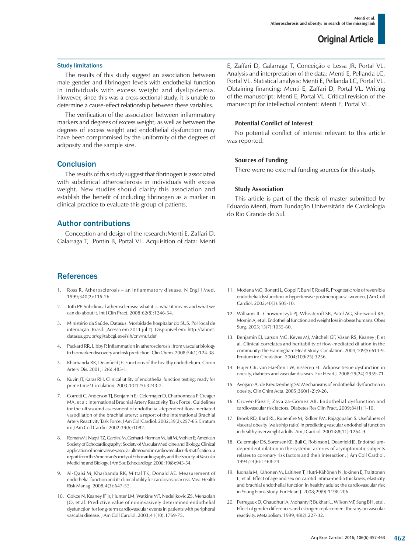#### Study limitations

The results of this study suggest an association between male gender and fibrinogen levels with endothelial function in individuals with excess weight and dyslipidemia. However, since this was a cross-sectional study, it is unable to determine a cause-effect relationship between these variables.

The verification of the association between inflammatory markers and degrees of excess weight, as well as between the degrees of excess weight and endothelial dysfunction may have been compromised by the uniformity of the degrees of adiposity and the sample size.

## **Conclusion**

The results of this study suggest that fibrinogen is associated with subclinical atherosclerosis in individuals with excess weight. New studies should clarify this association and establish the benefit of including fibrinogen as a marker in clinical practice to evaluate this group of patients.

## Author contributions

Conception and design of the research:Menti E, Zaffari D, Galarraga T, Pontin B, Portal VL. Acquisition of data: Menti

## **References**

- Ross R. Atherosclerosis an inflammatory disease. N Engl J Med. 1999;340(2):115-26.
- 2. Toth PP. Subclinical atherosclerosis: what it is, what it means and what we can do about it. Int J Clin Pract. 2008;62(8):1246-54.
- 3. Ministério da Saúde. Datasus. Morbidade hospitalar do SUS. Por local de internação. Brasil. [Acesso em 2011 jul 7]. Disponível em: http://tabnet. datasus.gov.br/cgi/tabcgi.exe?sih/cnv/nuf.def
- 4. Packard RR, Libby P. Inflammation in atherosclerosis: from vascular biology to biomarker discovery and risk prediction. Clin Chem. 2008;54(1):124-38.
- 5. Kharbanda RK, Deanfield JE. Functions of the healthy endothelium. Coron Artery Dis. 2001;12(6):485-1.
- 6. Kuvin JT, Karas RH. Clinical utility of endothelial function testing: ready for prime time? Circulation. 2003;107(25):3243-7.
- 7. Corretti C, Anderson TJ, Benjamin EJ, Celermajer D, Charbonneau F, Creager MA, et al; International Brachial Artery Reactivity Task Force. Guidelines for the ultrasound assessment of endothelial-dependent flow-mediated vasodilation of the brachial artery: a report of the International Brachial Artery Reactivity Task Force. J Am Coll Cardiol. 2002;39(2):257-65. Erratum in: J Am Coll Cardiol 2002;39(6):1082.
- 8. Roman MJ, Naqvi TZ, Gardin JM, Gerhard-Herman M, Jaff M, Mohler E; American Society of Echocardiography; Society of Vascular Medicine and Biology. Clinical application of noninvasive vascular ultrasound in cardiovascular risk stratification: a report from the American Society of Echocardiography and the Society of Vascular Medicine and Biology. J Am Soc Echocardiogr. 2006;19(8):943-54.
- 9. Al-Qaisi M, Kharbanda RK, Mittal TK, Donald AE. Measurement of endothelial function and its clinical utility for cardiovascular risk. Vasc Health Risk Manag. 2008;4(3):647-52.
- 10. Gokce N, Keaney JF Jr, Hunter LM, Watkins MT, Nedeljkovic ZS, Menzolan JO, et al. Predictive value of noninvasively determined endothelial dysfunction for long-term cardiovascular events in patients with peripheral vascular disease. J Am Coll Cardiol. 2003;41(10):1769-75.

E, Zaffari D, Galarraga T, Conceição e Lessa JR, Portal VL. Analysis and interpretation of the data: Menti E, Pellanda LC, Portal VL. Statistical analysis: Menti E, Pellanda LC, Portal VL. Obtaining financing: Menti E, Zaffari D, Portal VL. Writing of the manuscript: Menti E, Portal VL. Critical revision of the manuscript for intellectual content: Menti E, Portal VL.

### **Potential Conflict of Interest**

No potential conflict of interest relevant to this article was reported.

### **Sources of Funding**

There were no external funding sources for this study.

### **Study Association**

This article is part of the thesis of master submitted by Eduardo Menti, from Fundação Universitária de Cardiologia do Rio Grande do Sul.

- 11. Modena MG, Bonetti L, Coppi F, Bursi F, Rossi R. Prognostic role of reversible endothelial dysfunction in hypertensive postmenopausal women. J Am Coll Cardiol. 2002;40(3):505-10.
- 12. Williams IL, Chowienczyk PJ, Wheatcroft SB, Patel AG, Sherwood RA, Momin A, et al. Endothelial function and weight loss in obese humans. Obes Surg. 2005;15(7):1055-60.
- 13. Benjamin EJ, Larson MG, Keyes MJ, Mitchell GF, Vasan RS, Keaney JF, et al. Clinical correlates and heritability of flow-mediated dilation in the community: the Framingham Heart Study. Circulation. 2004;109(5):613-9. Erratum in: Circulation. 2004;109(25):3256.
- 14. Hajer GR, van Haeften TW, Visseren FL. Adipose tissue dysfunction in obesity, diabetes and vascular diseases. Eur Heart J. 2008;29(24):2959-71.
- 15. Avogaro A, de Kreutzenberg SV. Mechanisms of endothelial dysfunction in obesity. Clin Chim Acta. 2005;360(1-2):9-26.
- 16. Grover-Pàez F, Zavalza-Gómez AB. Endothelial dysfunction and cardiovascular risk factors. Diabetes Res Clin Pract. 2009;84(1):1-10.
- 17. Brook RD, Bard RL, Rubenfire M, Ridker PM, Rajagopalan S. Usefulness of visceral obesity (waist/hip ratio) in predicting vascular endothelial function in healthy overweight adults. Am J Cardiol. 2001;88(11):1264-9.
- 18. Celermajer DS, Sorensen KE, Bull C, Robinson J, Deanfield JE. Endotheliumdependent dilation in the systemic arteries of asymptomatic subjects relates to coronary risk factors and their interaction. J Am Coll Cardiol. 1994;24(6):1468-74.
- 19. Juonala M, Kähönen M, Laitinen T, Hutri-Kähönen N, Jokinen E, Traittonen L, et al. Effect of age and sex on carotid intima-media thickness, elasticity and brachial endothelial function in healthy adults: the cardiovascular risk in Young Finns Study. Eur Heart J. 2008;29(9):1198-206.
- 20. Perregaux D, Chaudhuri A, Mohanty P, Bukhari L, Wilson MF, Sung BH, et al. Effect of gender differences and estrogen replacement therapy on vascular reactivity. Metabolism. 1999;48(2):227-32.